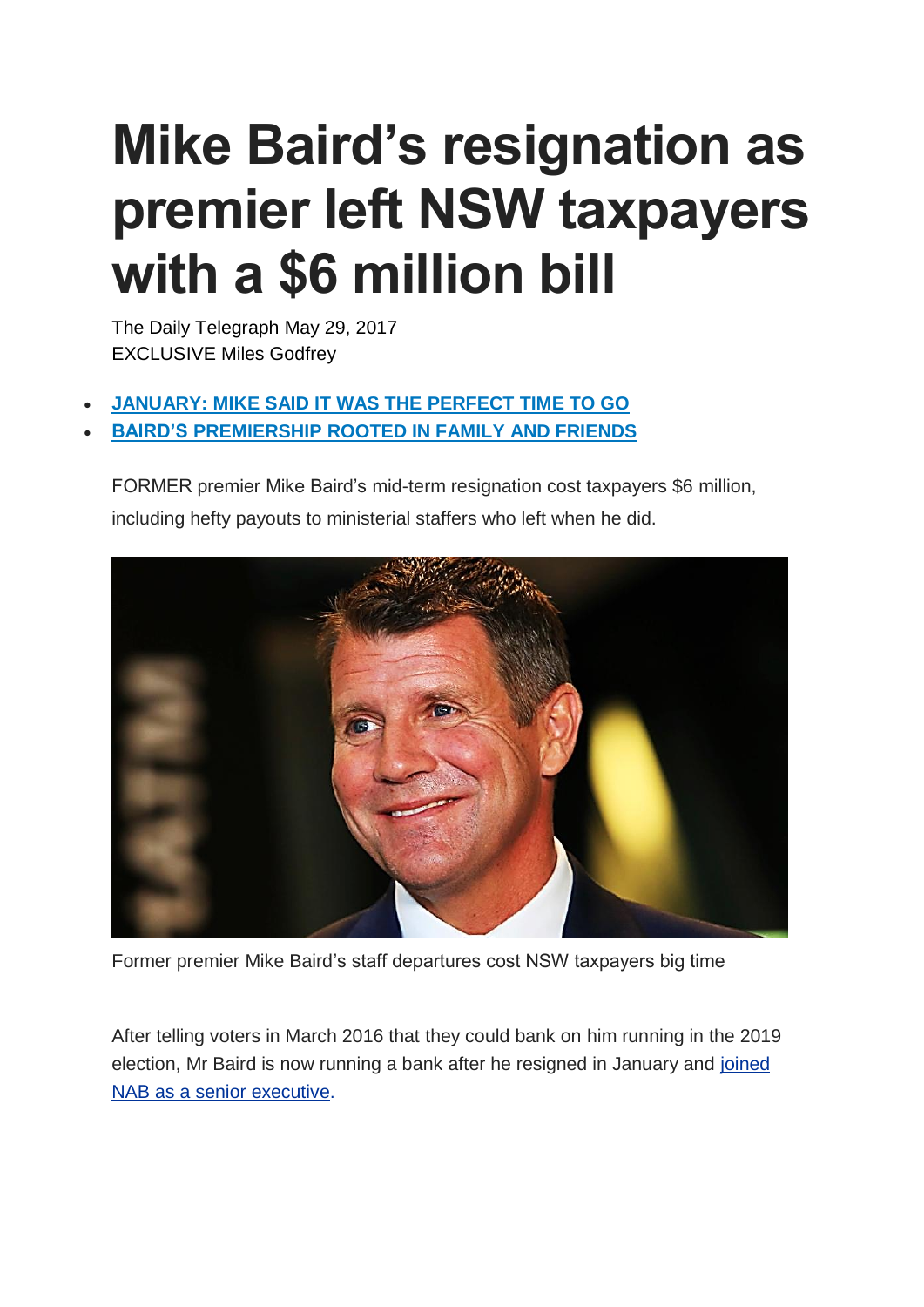## **Mike Baird's resignation as premier left NSW taxpayers with a \$6 million bill**

The Daily Telegraph May 29, 2017 EXCLUSIVE Miles Godfrey

- **[JANUARY:](http://www.dailytelegraph.com.au/news/nsw/perfect-time-for-me-to-hand-the-reins-over-nsw-premier-mike-baird-announces-retirement/news-story/31617bf9b3bdbc07a07e87e9374409c2) MIKE SAID IT WAS THE PERFECT TIME TO GO**
- **BAIRD'S [PREMIERSHIP](http://www.dailytelegraph.com.au/news/nsw/mike-bairds-premiership-is-rooted-in-family-and-faith/news-story/0b544a2ca453fd61afcb1c96e69722a6) ROOTED IN FAMILY AND FRIENDS**

FORMER premier Mike Baird's mid-term resignation cost taxpayers \$6 million, including hefty payouts to ministerial staffers who left when he did.



Former premier Mike Baird's staff departures cost NSW taxpayers big time

After telling voters in March 2016 that they could bank on him running in the 2019 election, Mr Baird is now running a bank after he resigned in January and [joined](http://www.dailytelegraph.com.au/business/former-nsw-premier-mike-baird-joins-national-australia-bank/news-story/8479cfaf11a2b2b81ca1e8ec35b425c3) NAB as a senior [executive.](http://www.dailytelegraph.com.au/business/former-nsw-premier-mike-baird-joins-national-australia-bank/news-story/8479cfaf11a2b2b81ca1e8ec35b425c3)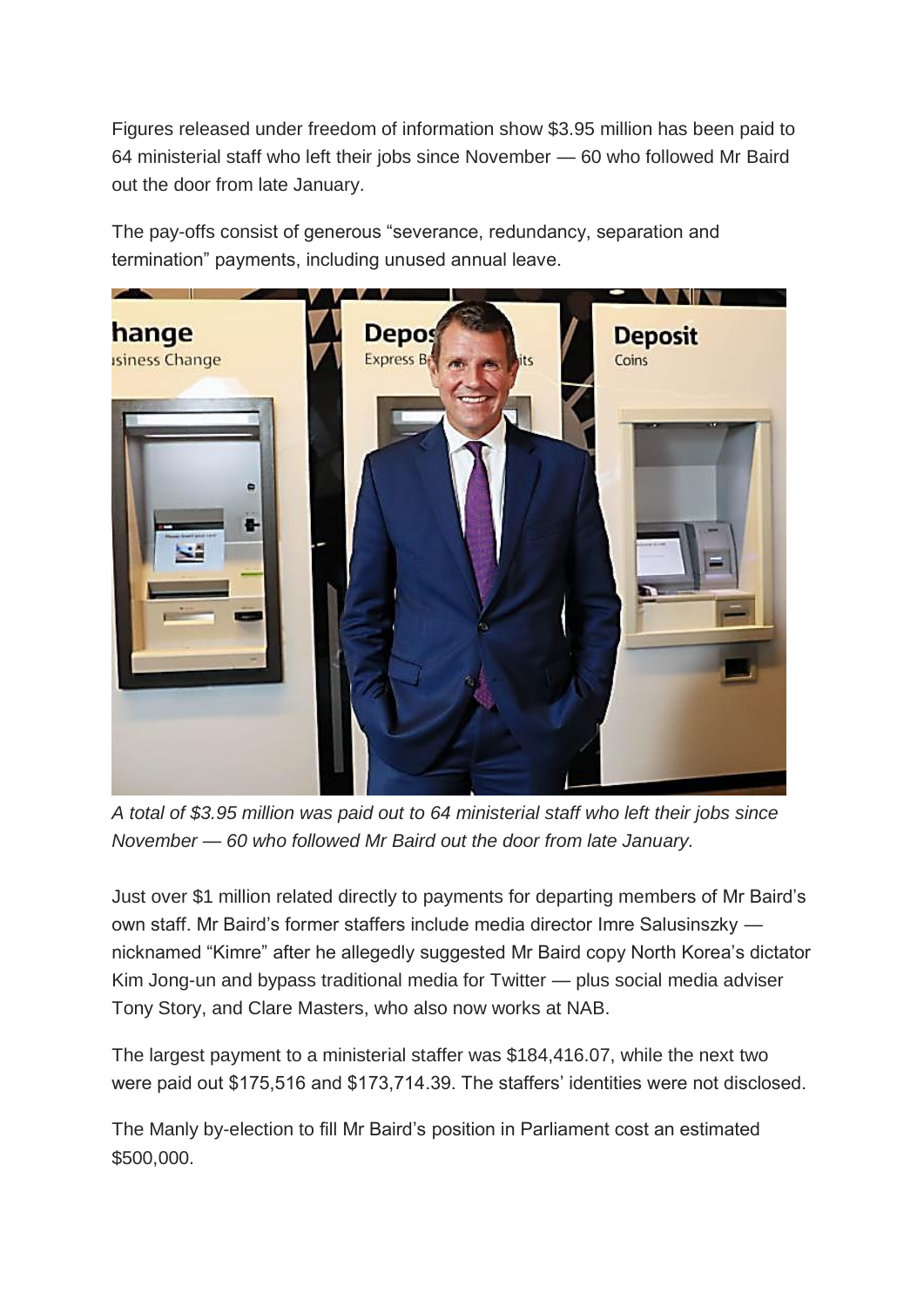Figures released under freedom of information show \$3.95 million has been paid to 64 ministerial staff who left their jobs since November — 60 who followed Mr Baird out the door from late January.

The pay-offs consist of generous "severance, redundancy, separation and termination" payments, including unused annual leave.



*A total of \$3.95 million was paid out to 64 ministerial staff who left their jobs since November — 60 who followed Mr Baird out the door from late January.*

Just over \$1 million related directly to payments for departing members of Mr Baird's own staff. Mr Baird's former staffers include media director Imre Salusinszky nicknamed "Kimre" after he allegedly suggested Mr Baird copy North Korea's dictator Kim Jong-un and bypass traditional media for Twitter — plus social media adviser Tony Story, and Clare Masters, who also now works at NAB.

The largest payment to a ministerial staffer was \$184,416.07, while the next two were paid out \$175,516 and \$173,714.39. The staffers' identities were not disclosed.

The Manly by-election to fill Mr Baird's position in Parliament cost an estimated \$500,000.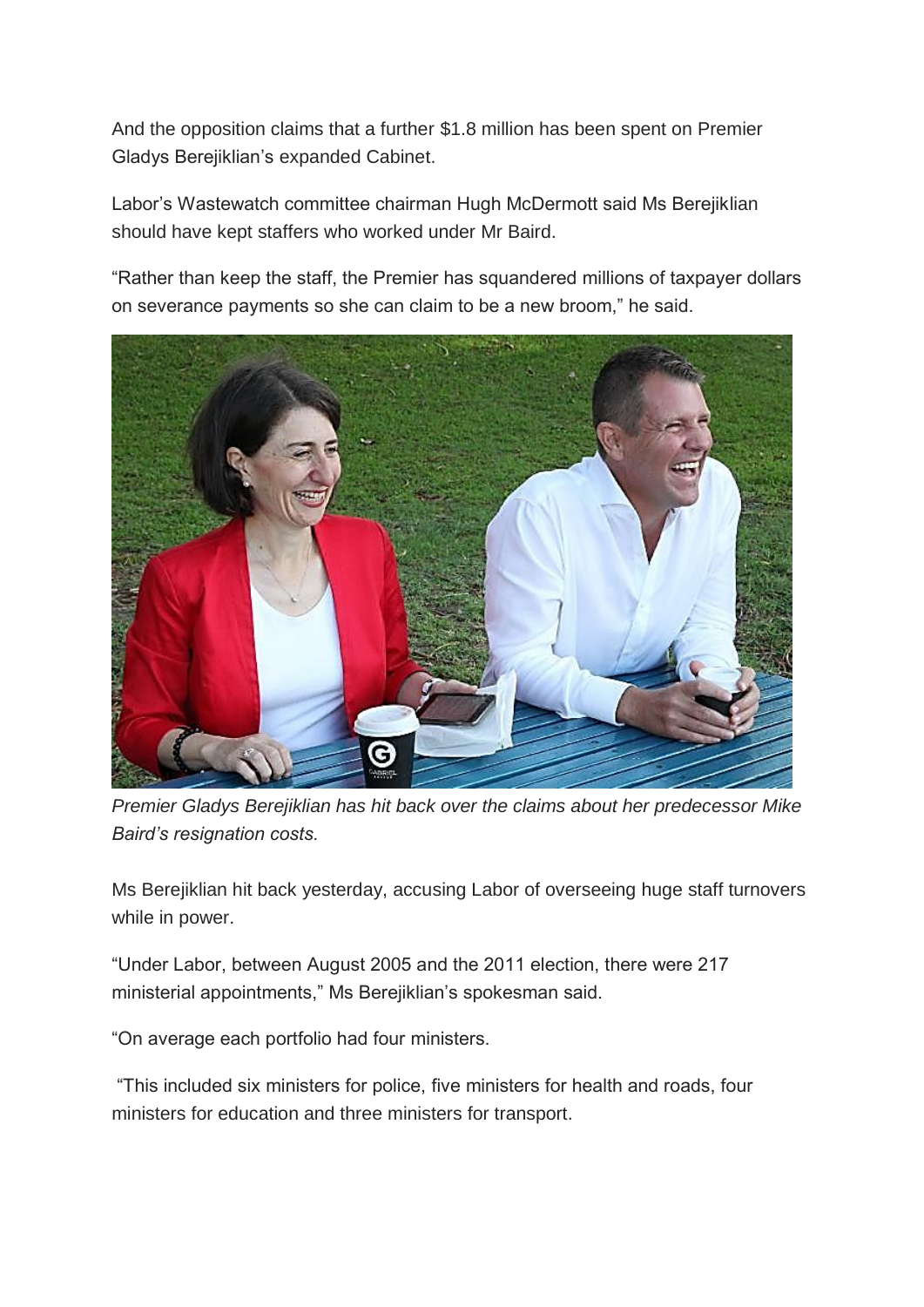And the opposition claims that a further \$1.8 million has been spent on Premier Gladys Berejiklian's expanded Cabinet.

Labor's Wastewatch committee chairman Hugh McDermott said Ms Berejiklian should have kept staffers who worked under Mr Baird.

"Rather than keep the staff, the Premier has squandered millions of taxpayer dollars on severance payments so she can claim to be a new broom," he said.



*Premier Gladys Berejiklian has hit back over the claims about her predecessor Mike Baird's resignation costs.*

Ms Berejiklian hit back yesterday, accusing Labor of overseeing huge staff turnovers while in power.

"Under Labor, between August 2005 and the 2011 election, there were 217 ministerial appointments," Ms Berejiklian's spokesman said.

"On average each portfolio had four ministers.

"This included six ministers for police, five ministers for health and roads, four ministers for education and three ministers for transport.